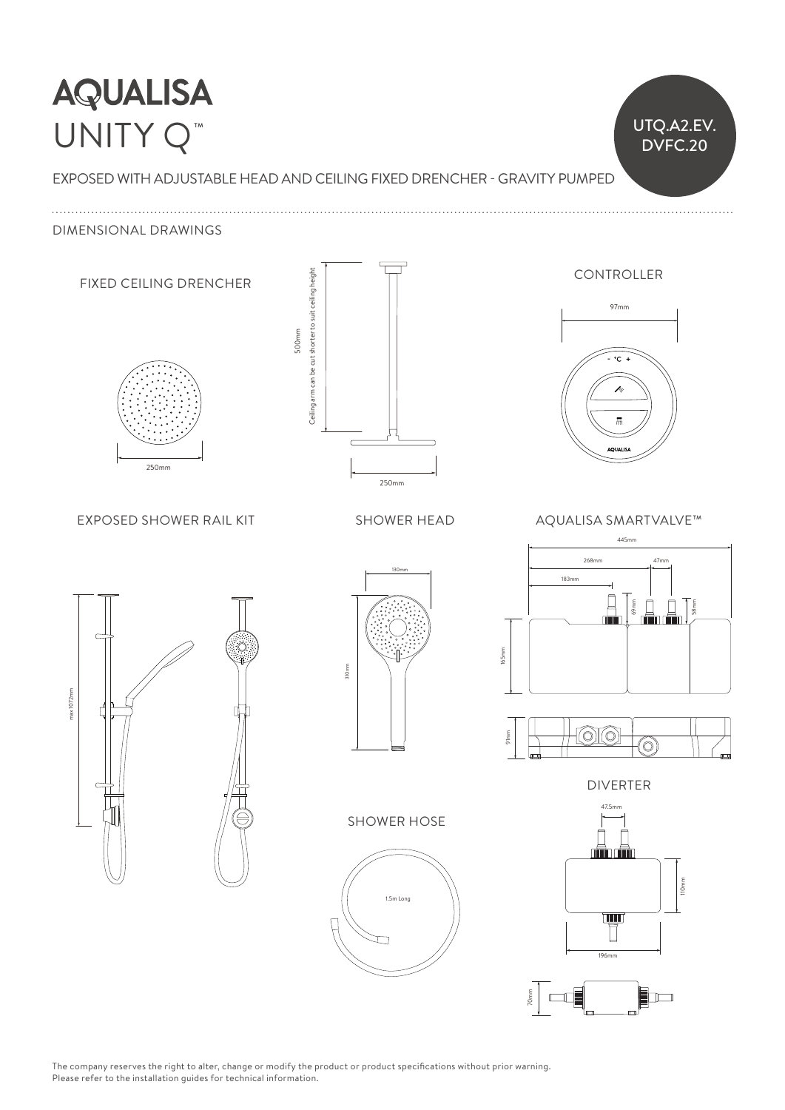## **AQUALISA** Ceiling arm can be cut shorter to suit ceiling height UNITY Q<sup>™</sup>

EXPOSED WITH ADJUSTABLE HEAD AND CEILING FIXED DRENCHER - GRAVITY PUMPED 80mm

UTQ.A2.EV. DVFC.20

25mm 98mm

67mm 20mm

ho

 $\mathbb{I}^{\mathbb{I}}$ 

DIMENSIONAL DRAWINGS



The company reserves the right to alter, change or modify the product or product specifications without prior warning.<br>Pulled the company reserves the right to alter, change or modify the product or product specifications Please refer to the installation guides for technical information.